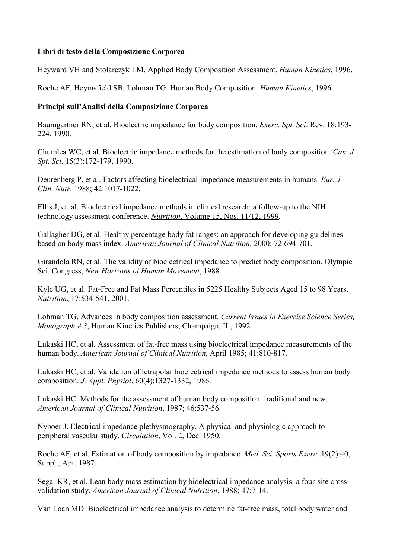### **Libri di testo della Composizione Corporea**

Heyward VH and Stolarczyk LM. Applied Body Composition Assessment. *Human Kinetics*, 1996.

Roche AF, Heymsfield SB, Lohman TG. Human Body Composition. *Human Kinetics*, 1996.

# **Principi sull'Analisi della Composizione Corporea**

Baumgartner RN, et al. Bioelectric impedance for body composition. *Exerc. Spt. Sci*. Rev. 18:193- 224, 1990.

Chumlea WC, et al. Bioelectric impedance methods for the estimation of body composition. *Can. J. Spt. Sci*. 15(3):172-179, 1990.

Deurenberg P, et al. Factors affecting bioelectrical impedance measurements in humans. *Eur. J. Clin. Nutr*. 1988; 42:1017-1022.

Ellis J, et. al. Bioelectrical impedance methods in clinical research: a follow-up to the NIH technology assessment conference. *Nutrition*, Volume 15, Nos. 11/12, 1999.

Gallagher DG, et al. Healthy percentage body fat ranges: an approach for developing guidelines based on body mass index. *American Journal of Clinical Nutrition*, 2000; 72:694-701.

Girandola RN, et al. The validity of bioelectrical impedance to predict body composition. Olympic Sci. Congress, *New Horizons of Human Movement*, 1988.

Kyle UG, et al. Fat-Free and Fat Mass Percentiles in 5225 Healthy Subjects Aged 15 to 98 Years. *Nutrition*, 17:534-541, 2001.

Lohman TG. Advances in body composition assessment. *Current Issues in Exercise Science Series, Monograph # 3*, Human Kinetics Publishers, Champaign, IL, 1992.

Lukaski HC, et al. Assessment of fat-free mass using bioelectrical impedance measurements of the human body. *American Journal of Clinical Nutrition*, April 1985; 41:810-817.

Lukaski HC, et al. Validation of tetrapolar bioelectrical impedance methods to assess human body composition. *J. Appl. Physiol*. 60(4):1327-1332, 1986.

Lukaski HC. Methods for the assessment of human body composition: traditional and new. *American Journal of Clinical Nutrition*, 1987; 46:537-56.

Nyboer J. Electrical impedance plethysmography. A physical and physiologic approach to peripheral vascular study. *Circulation*, Vol. 2, Dec. 1950.

Roche AF, et al. Estimation of body composition by impedance. *Med. Sci. Sports Exerc*. 19(2):40, Suppl., Apr. 1987.

Segal KR, et al. Lean body mass estimation by bioelectrical impedance analysis: a four-site crossvalidation study. *American Journal of Clinical Nutrition*, 1988; 47:7-14.

Van Loan MD. Bioelectrical impedance analysis to determine fat-free mass, total body water and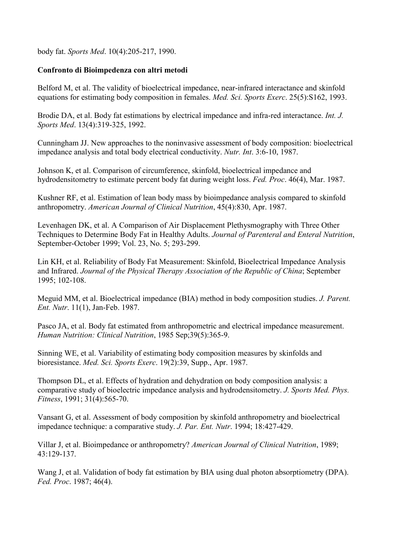body fat. *Sports Med*. 10(4):205-217, 1990.

#### **Confronto di Bioimpedenza con altri metodi**

Belford M, et al. The validity of bioelectrical impedance, near-infrared interactance and skinfold equations for estimating body composition in females. *Med. Sci. Sports Exerc*. 25(5):S162, 1993.

Brodie DA, et al. Body fat estimations by electrical impedance and infra-red interactance. *Int. J. Sports Med*. 13(4):319-325, 1992.

Cunningham JJ. New approaches to the noninvasive assessment of body composition: bioelectrical impedance analysis and total body electrical conductivity. *Nutr. Int*. 3:6-10, 1987.

Johnson K, et al. Comparison of circumference, skinfold, bioelectrical impedance and hydrodensitometry to estimate percent body fat during weight loss. *Fed. Proc*. 46(4), Mar. 1987.

Kushner RF, et al. Estimation of lean body mass by bioimpedance analysis compared to skinfold anthropometry. *American Journal of Clinical Nutrition*, 45(4):830, Apr. 1987.

Levenhagen DK, et al. A Comparison of Air Displacement Plethysmography with Three Other Techniques to Determine Body Fat in Healthy Adults. *Journal of Parenteral and Enteral Nutrition*, September-October 1999; Vol. 23, No. 5; 293-299.

Lin KH, et al. Reliability of Body Fat Measurement: Skinfold, Bioelectrical Impedance Analysis and Infrared. *Journal of the Physical Therapy Association of the Republic of China*; September 1995; 102-108.

Meguid MM, et al. Bioelectrical impedance (BIA) method in body composition studies. *J. Parent. Ent. Nutr*. 11(1), Jan-Feb. 1987.

Pasco JA, et al. Body fat estimated from anthropometric and electrical impedance measurement. *Human Nutrition: Clinical Nutrition*, 1985 Sep;39(5):365-9.

Sinning WE, et al. Variability of estimating body composition measures by skinfolds and bioresistance. *Med. Sci. Sports Exerc*. 19(2):39, Supp., Apr. 1987.

Thompson DL, et al. Effects of hydration and dehydration on body composition analysis: a comparative study of bioelectric impedance analysis and hydrodensitometry. *J. Sports Med. Phys. Fitness*, 1991; 31(4):565-70.

Vansant G, et al. Assessment of body composition by skinfold anthropometry and bioelectrical impedance technique: a comparative study. *J. Par. Ent. Nutr*. 1994; 18:427-429.

Villar J, et al. Bioimpedance or anthropometry? *American Journal of Clinical Nutrition*, 1989; 43:129-137.

Wang J, et al. Validation of body fat estimation by BIA using dual photon absorptiometry (DPA). *Fed. Proc*. 1987; 46(4).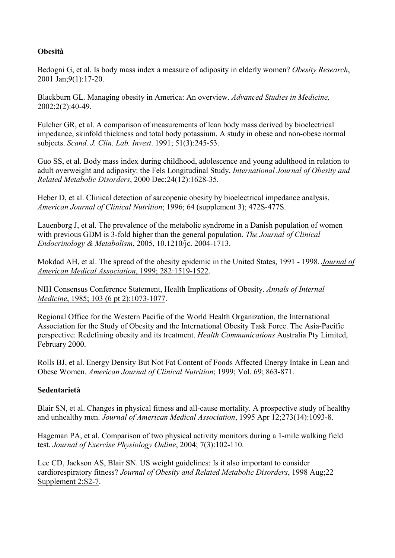# **Obesità**

Bedogni G, et al. Is body mass index a measure of adiposity in elderly women? *Obesity Research*, 2001 Jan;9(1):17-20.

Blackburn GL. Managing obesity in America: An overview. *Advanced Studies in Medicine,* 2002;2(2):40-49.

Fulcher GR, et al. A comparison of measurements of lean body mass derived by bioelectrical impedance, skinfold thickness and total body potassium. A study in obese and non-obese normal subjects. *Scand. J. Clin. Lab. Invest*. 1991; 51(3):245-53.

Guo SS, et al. Body mass index during childhood, adolescence and young adulthood in relation to adult overweight and adiposity: the Fels Longitudinal Study, *International Journal of Obesity and Related Metabolic Disorders*, 2000 Dec;24(12):1628-35.

Heber D, et al. Clinical detection of sarcopenic obesity by bioelectrical impedance analysis. *American Journal of Clinical Nutrition*; 1996; 64 (supplement 3); 472S-477S.

Lauenborg J, et al. The prevalence of the metabolic syndrome in a Danish population of women with previous GDM is 3-fold higher than the general population. *The Journal of Clinical Endocrinology & Metabolism*, 2005, 10.1210/jc. 2004-1713.

Mokdad AH, et al. The spread of the obesity epidemic in the United States, 1991 - 1998. *Journal of American Medical Association*, 1999; 282:1519-1522.

NIH Consensus Conference Statement, Health Implications of Obesity. *Annals of Internal Medicine*, 1985; 103 (6 pt 2):1073-1077.

Regional Office for the Western Pacific of the World Health Organization, the International Association for the Study of Obesity and the International Obesity Task Force. The Asia-Pacific perspective: Redefining obesity and its treatment. *Health Communications* Australia Pty Limited, February 2000.

Rolls BJ, et al. Energy Density But Not Fat Content of Foods Affected Energy Intake in Lean and Obese Women. *American Journal of Clinical Nutrition*; 1999; Vol. 69; 863-871.

### **Sedentarietà**

Blair SN, et al. Changes in physical fitness and all-cause mortality. A prospective study of healthy and unhealthy men. *Journal of American Medical Association*, 1995 Apr 12;273(14):1093-8.

Hageman PA, et al. Comparison of two physical activity monitors during a 1-mile walking field test. *Journal of Exercise Physiology Online*, 2004; 7(3):102-110.

Lee CD, Jackson AS, Blair SN. US weight guidelines: Is it also important to consider cardiorespiratory fitness? *Journal of Obesity and Related Metabolic Disorders*, 1998 Aug;22 Supplement 2:S2-7.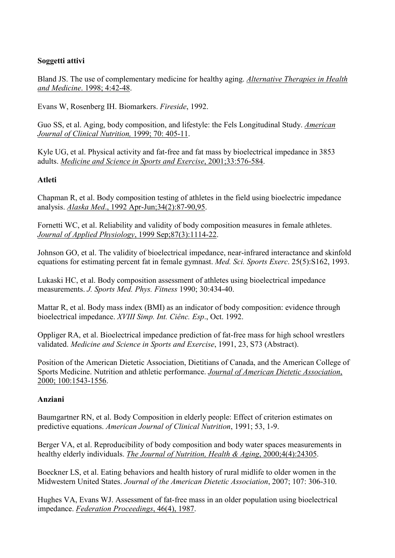## **Soggetti attivi**

Bland JS. The use of complementary medicine for healthy aging. *Alternative Therapies in Health and Medicine*. 1998; 4:42-48.

Evans W, Rosenberg IH. Biomarkers. *Fireside*, 1992.

Guo SS, et al. Aging, body composition, and lifestyle: the Fels Longitudinal Study. *American Journal of Clinical Nutrition,* 1999; 70: 405-11.

Kyle UG, et al. Physical activity and fat-free and fat mass by bioelectrical impedance in 3853 adults. *Medicine and Science in Sports and Exercise*, 2001;33:576-584.

## **Atleti**

Chapman R, et al. Body composition testing of athletes in the field using bioelectric impedance analysis. *Alaska Med*., 1992 Apr-Jun;34(2):87-90,95.

Fornetti WC, et al. Reliability and validity of body composition measures in female athletes. *Journal of Applied Physiology*, 1999 Sep;87(3):1114-22.

Johnson GO, et al. The validity of bioelectrical impedance, near-infrared interactance and skinfold equations for estimating percent fat in female gymnast. *Med. Sci. Sports Exerc*. 25(5):S162, 1993.

Lukaski HC, et al. Body composition assessment of athletes using bioelectrical impedance measurements. *J. Sports Med. Phys. Fitness* 1990; 30:434-40.

Mattar R, et al. Body mass index (BMI) as an indicator of body composition: evidence through bioelectrical impedance. *XVIII Simp. Int. Ciênc. Esp*., Oct. 1992.

Oppliger RA, et al. Bioelectrical impedance prediction of fat-free mass for high school wrestlers validated. *Medicine and Science in Sports and Exercise*, 1991, 23, S73 (Abstract).

Position of the American Dietetic Association, Dietitians of Canada, and the American College of Sports Medicine. Nutrition and athletic performance. *Journal of American Dietetic Association*, 2000; 100:1543-1556.

### **Anziani**

Baumgartner RN, et al. Body Composition in elderly people: Effect of criterion estimates on predictive equations. *American Journal of Clinical Nutrition*, 1991; 53, 1-9.

Berger VA, et al. Reproducibility of body composition and body water spaces measurements in healthy elderly individuals. *The Journal of Nutrition, Health & Aging*, 2000;4(4):24305.

Boeckner LS, et al. Eating behaviors and health history of rural midlife to older women in the Midwestern United States. *Journal of the American Dietetic Association*, 2007; 107: 306-310.

Hughes VA, Evans WJ. Assessment of fat-free mass in an older population using bioelectrical impedance. *Federation Proceedings*, 46(4), 1987.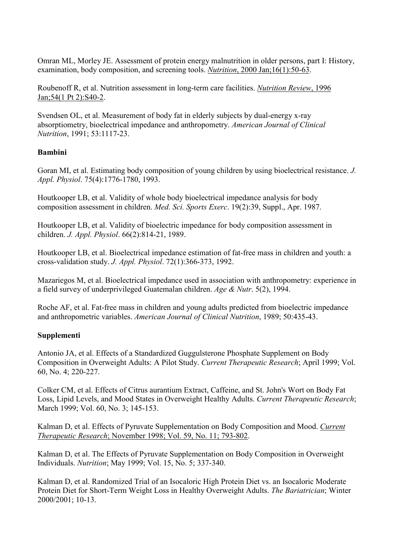Omran ML, Morley JE. Assessment of protein energy malnutrition in older persons, part I: History, examination, body composition, and screening tools. *Nutrition*, 2000 Jan;16(1):50-63.

Roubenoff R, et al. Nutrition assessment in long-term care facilities. *Nutrition Review*, 1996 Jan;54(1 Pt 2):S40-2.

Svendsen OL, et al. Measurement of body fat in elderly subjects by dual-energy x-ray absorptiometry, bioelectrical impedance and anthropometry. *American Journal of Clinical Nutrition*, 1991; 53:1117-23.

### **Bambini**

Goran MI, et al. Estimating body composition of young children by using bioelectrical resistance. *J. Appl. Physiol*. 75(4):1776-1780, 1993.

Houtkooper LB, et al. Validity of whole body bioelectrical impedance analysis for body composition assessment in children. *Med. Sci. Sports Exerc*. 19(2):39, Suppl., Apr. 1987.

Houtkooper LB, et al. Validity of bioelectric impedance for body composition assessment in children. *J. Appl. Physiol*. 66(2):814-21, 1989.

Houtkooper LB, et al. Bioelectrical impedance estimation of fat-free mass in children and youth: a cross-validation study. *J. Appl. Physiol*. 72(1):366-373, 1992.

Mazariegos M, et al. Bioelectrical impedance used in association with anthropometry: experience in a field survey of underprivileged Guatemalan children. *Age & Nutr*. 5(2), 1994.

Roche AF, et al. Fat-free mass in children and young adults predicted from bioelectric impedance and anthropometric variables. *American Journal of Clinical Nutrition*, 1989; 50:435-43.

### **Supplementi**

Antonio JA, et al. Effects of a Standardized Guggulsterone Phosphate Supplement on Body Composition in Overweight Adults: A Pilot Study. *Current Therapeutic Research*; April 1999; Vol. 60, No. 4; 220-227.

Colker CM, et al. Effects of Citrus aurantium Extract, Caffeine, and St. John's Wort on Body Fat Loss, Lipid Levels, and Mood States in Overweight Healthy Adults. *Current Therapeutic Research*; March 1999; Vol. 60, No. 3; 145-153.

Kalman D, et al. Effects of Pyruvate Supplementation on Body Composition and Mood. *Current Therapeutic Research*; November 1998; Vol. 59, No. 11; 793-802.

Kalman D, et al. The Effects of Pyruvate Supplementation on Body Composition in Overweight Individuals. *Nutrition*; May 1999; Vol. 15, No. 5; 337-340.

Kalman D, et al. Randomized Trial of an Isocaloric High Protein Diet vs. an Isocaloric Moderate Protein Diet for Short-Term Weight Loss in Healthy Overweight Adults. *The Bariatrician*; Winter 2000/2001; 10-13.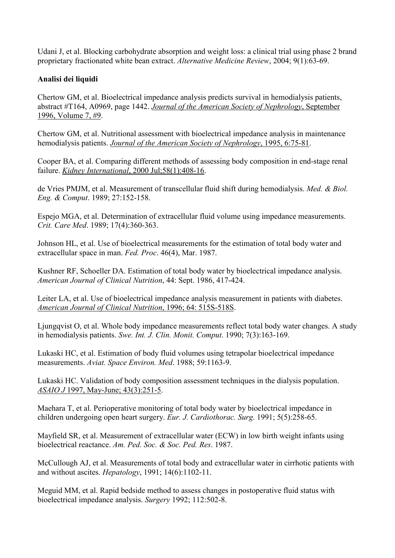Udani J, et al. Blocking carbohydrate absorption and weight loss: a clinical trial using phase 2 brand proprietary fractionated white bean extract. *Alternative Medicine Review*, 2004; 9(1):63-69.

## **Analisi dei liquidi**

Chertow GM, et al. Bioelectrical impedance analysis predicts survival in hemodialysis patients, abstract #T164, A0969, page 1442. *Journal of the American Society of Nephrology*, September 1996, Volume 7, #9.

Chertow GM, et al. Nutritional assessment with bioelectrical impedance analysis in maintenance hemodialysis patients. *Journal of the American Society of Nephrology*, 1995, 6:75-81.

Cooper BA, et al. Comparing different methods of assessing body composition in end-stage renal failure. *Kidney International*, 2000 Jul;58(1):408-16.

de Vries PMJM, et al. Measurement of transcellular fluid shift during hemodialysis. *Med. & Biol. Eng. & Comput*. 1989; 27:152-158.

Espejo MGA, et al. Determination of extracellular fluid volume using impedance measurements. *Crit. Care Med*. 1989; 17(4):360-363.

Johnson HL, et al. Use of bioelectrical measurements for the estimation of total body water and extracellular space in man. *Fed. Proc*. 46(4), Mar. 1987.

Kushner RF, Schoeller DA. Estimation of total body water by bioelectrical impedance analysis. *American Journal of Clinical Nutrition*, 44: Sept. 1986, 417-424.

Leiter LA, et al. Use of bioelectrical impedance analysis measurement in patients with diabetes. *American Journal of Clinical Nutrition*, 1996; 64: 515S-518S.

Ljungqvist O, et al. Whole body impedance measurements reflect total body water changes. A study in hemodialysis patients. *Swe. Int. J. Clin. Monit. Comput*. 1990; 7(3):163-169.

Lukaski HC, et al. Estimation of body fluid volumes using tetrapolar bioelectrical impedance measurements. *Aviat. Space Environ. Med*. 1988; 59:1163-9.

Lukaski HC. Validation of body composition assessment techniques in the dialysis population. *ASAIO J* 1997, May-June; 43(3):251-5.

Maehara T, et al. Perioperative monitoring of total body water by bioelectrical impedance in children undergoing open heart surgery. *Eur. J. Cardiothorac. Surg*. 1991; 5(5):258-65.

Mayfield SR, et al. Measurement of extracellular water (ECW) in low birth weight infants using bioelectrical reactance. *Am. Ped. Soc. & Soc. Ped. Res*. 1987.

McCullough AJ, et al. Measurements of total body and extracellular water in cirrhotic patients with and without ascites. *Hepatology*, 1991; 14(6):1102-11.

Meguid MM, et al. Rapid bedside method to assess changes in postoperative fluid status with bioelectrical impedance analysis. *Surgery* 1992; 112:502-8.